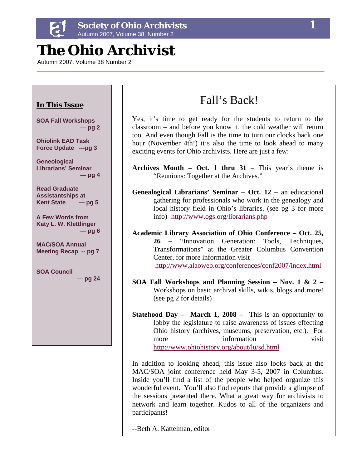

# *The Ohio Archivist*

Autumn 2007, Volume 38 Number 2



In addition to looking ahead, this issue also looks back at the MAC/SOA joint conference held May 3-5, 2007 in Columbus. Inside you'll find a list of the people who helped organize this wonderful event. You'll also find reports that provide a glimpse of the sessions presented there. What a great way for archivists to network and learn together. Kudos to all of the organizers and participants!

--Beth A. Kattelman, editor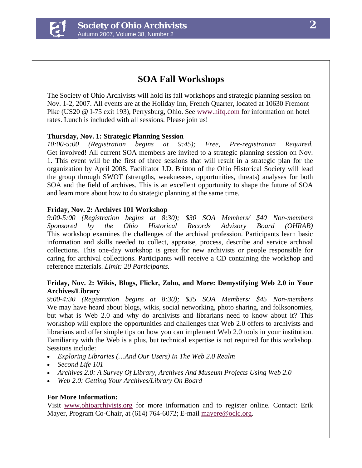

## **SOA Fall Workshops**

The Society of Ohio Archivists will hold its fall workshops and strategic planning session on Nov. 1-2, 2007. All events are at the Holiday Inn, French Quarter, located at 10630 Fremont Pike (US20 @ I-75 exit 193), Perrysburg, Ohio. See [www.hifq.com](http://www.hifq.com/) for information on hotel rates. Lunch is included with all sessions. Please join us!

#### **Thursday, Nov. 1: Strategic Planning Session**

*10:00-5:00 (Registration begins at 9:45); Free, Pre-registration Required.* Get involved! All current SOA members are invited to a strategic planning session on Nov. 1. This event will be the first of three sessions that will result in a strategic plan for the organization by April 2008. Facilitator J.D. Britton of the Ohio Historical Society will lead the group through SWOT (strengths, weaknesses, opportunities, threats) analyses for both SOA and the field of archives. This is an excellent opportunity to shape the future of SOA and learn more about how to do strategic planning at the same time.

#### **Friday, Nov. 2: Archives 101 Workshop**

*9:00-5:00 (Registration begins at 8:30); \$30 SOA Members/ \$40 Non-members Sponsored by the Ohio Historical Records Advisory Board (OHRAB)*  This workshop examines the challenges of the archival profession. Participants learn basic information and skills needed to collect, appraise, process, describe and service archival collections. This one-day workshop is great for new archivists or people responsible for caring for archival collections. Participants will receive a CD containing the workshop and reference materials. *Limit: 20 Participants.*

#### **Friday, Nov. 2: Wikis, Blogs, Flickr, Zoho, and More: Demystifying Web 2.0 in Your Archives/Library**

*9:00-4:30 (Registration begins at 8:30); \$35 SOA Members/ \$45 Non-members* We may have heard about blogs, wikis, social networking, photo sharing, and folksonomies, but what is Web 2.0 and why do archivists and librarians need to know about it? This workshop will explore the opportunities and challenges that Web 2.0 offers to archivists and librarians and offer simple tips on how you can implement Web 2.0 tools in your institution. Familiarity with the Web is a plus, but technical expertise is not required for this workshop. Sessions include:

- *Exploring Libraries (…And Our Users) In The Web 2.0 Realm*
- *Second Life 101*
- *Archives 2.0: A Survey Of Library, Archives And Museum Projects Using Web 2.0*
- *Web 2.0: Getting Your Archives/Library On Board*

#### **For More Information:**

Visit [www.ohioarchivists.org](http://www.ohioarchivists.org/) for more information and to register online. Contact: Erik Mayer, Program Co-Chair, at (614) 764-6072; E-mail [mayere@oclc.org.](mailto:mayere@oclc.org)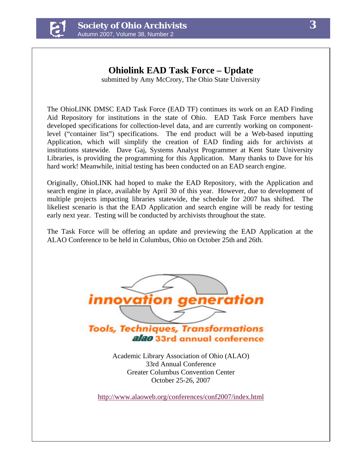

#### **Ohiolink EAD Task Force – Update**  submitted by Amy McCrory, The Ohio State University

The OhioLINK DMSC EAD Task Force (EAD TF) continues its work on an EAD Finding Aid Repository for institutions in the state of Ohio. EAD Task Force members have developed specifications for collection-level data, and are currently working on componentlevel ("container list") specifications. The end product will be a Web-based inputting Application, which will simplify the creation of EAD finding aids for archivists at institutions statewide. Dave Gaj, Systems Analyst Programmer at Kent State University Libraries, is providing the programming for this Application. Many thanks to Dave for his hard work! Meanwhile, initial testing has been conducted on an EAD search engine.

Originally, OhioLINK had hoped to make the EAD Repository, with the Application and search engine in place, available by April 30 of this year. However, due to development of multiple projects impacting libraries statewide, the schedule for 2007 has shifted. The likeliest scenario is that the EAD Application and search engine will be ready for testing early next year. Testing will be conducted by archivists throughout the state.

The Task Force will be offering an update and previewing the EAD Application at the ALAO Conference to be held in Columbus, Ohio on October 25th and 26th.



Academic Library Association of Ohio (ALAO) 33rd Annual Conference Greater Columbus Convention Center October 25-26, 2007

<http://www.alaoweb.org/conferences/conf2007/index.html>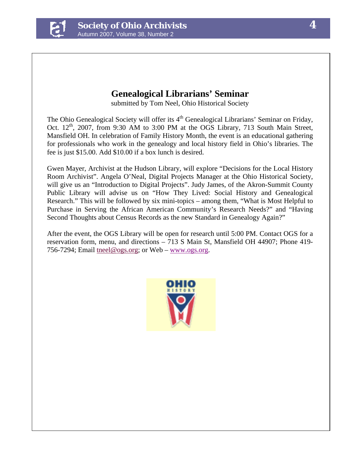

## **Genealogical Librarians' Seminar**

submitted by Tom Neel, Ohio Historical Society

The Ohio Genealogical Society will offer its 4<sup>th</sup> Genealogical Librarians' Seminar on Friday, Oct.  $12<sup>th</sup>$ , 2007, from 9:30 AM to 3:00 PM at the OGS Library, 713 South Main Street, Mansfield OH. In celebration of Family History Month, the event is an educational gathering for professionals who work in the genealogy and local history field in Ohio's libraries. The fee is just \$15.00. Add \$10.00 if a box lunch is desired.

Gwen Mayer, Archivist at the Hudson Library, will explore "Decisions for the Local History Room Archivist". Angela O'Neal, Digital Projects Manager at the Ohio Historical Society, will give us an "Introduction to Digital Projects". Judy James, of the Akron-Summit County Public Library will advise us on "How They Lived: Social History and Genealogical Research." This will be followed by six mini-topics – among them, "What is Most Helpful to Purchase in Serving the African American Community's Research Needs?" and "Having Second Thoughts about Census Records as the new Standard in Genealogy Again?"

After the event, the OGS Library will be open for research until 5:00 PM. Contact OGS for a reservation form, menu, and directions – 713 S Main St, Mansfield OH 44907; Phone 419- 756-7294; Email [tneel@ogs.org;](mailto:tneel@ogs.org) or Web – [www.ogs.org](http://www.ogs.org/).

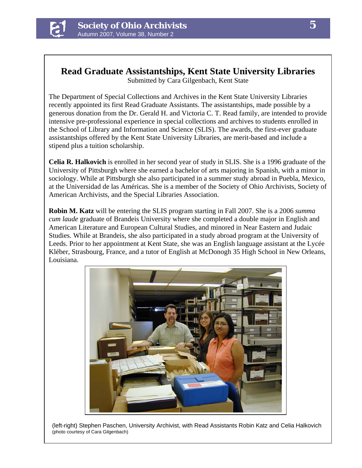

## **Read Graduate Assistantships, Kent State University Libraries**

Submitted by Cara Gilgenbach, Kent State

The Department of Special Collections and Archives in the Kent State University Libraries recently appointed its first Read Graduate Assistants. The assistantships, made possible by a generous donation from the Dr. Gerald H. and Victoria C. T. Read family, are intended to provide intensive pre-professional experience in special collections and archives to students enrolled in the School of Library and Information and Science (SLIS). The awards, the first-ever graduate assistantships offered by the Kent State University Libraries, are merit-based and include a stipend plus a tuition scholarship.

**Celia R. Halkovich** is enrolled in her second year of study in SLIS. She is a 1996 graduate of the University of Pittsburgh where she earned a bachelor of arts majoring in Spanish, with a minor in sociology. While at Pittsburgh she also participated in a summer study abroad in Puebla, Mexico, at the Universidad de las Américas. She is a member of the Society of Ohio Archivists, Society of American Archivists, and the Special Libraries Association.

**Robin M. Katz** will be entering the SLIS program starting in Fall 2007. She is a 2006 *summa cum laude* graduate of Brandeis University where she completed a double major in English and American Literature and European Cultural Studies, and minored in Near Eastern and Judaic Studies. While at Brandeis, she also participated in a study abroad program at the University of Leeds. Prior to her appointment at Kent State, she was an English language assistant at the Lycée Kléber, Strasbourg, France, and a tutor of English at McDonogh 35 High School in New Orleans, Louisiana.



(left-right) Stephen Paschen, University Archivist, with Read Assistants Robin Katz and Celia Halkovich (photo courtesy of Cara Gilgenbach)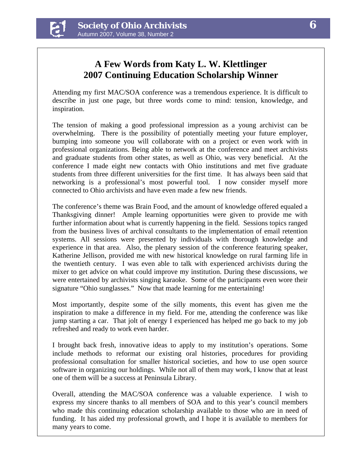

## **A Few Words from Katy L. W. Klettlinger 2007 Continuing Education Scholarship Winner**

Attending my first MAC/SOA conference was a tremendous experience. It is difficult to describe in just one page, but three words come to mind: tension, knowledge, and inspiration.

The tension of making a good professional impression as a young archivist can be overwhelming. There is the possibility of potentially meeting your future employer, bumping into someone you will collaborate with on a project or even work with in professional organizations. Being able to network at the conference and meet archivists and graduate students from other states, as well as Ohio, was very beneficial. At the conference I made eight new contacts with Ohio institutions and met five graduate students from three different universities for the first time. It has always been said that networking is a professional's most powerful tool. I now consider myself more connected to Ohio archivists and have even made a few new friends.

The conference's theme was Brain Food, and the amount of knowledge offered equaled a Thanksgiving dinner! Ample learning opportunities were given to provide me with further information about what is currently happening in the field. Sessions topics ranged from the business lives of archival consultants to the implementation of email retention systems. All sessions were presented by individuals with thorough knowledge and experience in that area. Also, the plenary session of the conference featuring speaker, Katherine Jellison, provided me with new historical knowledge on rural farming life in the twentieth century. I was even able to talk with experienced archivists during the mixer to get advice on what could improve my institution. During these discussions, we were entertained by archivists singing karaoke. Some of the participants even wore their signature "Ohio sunglasses." Now that made learning for me entertaining!

Most importantly, despite some of the silly moments, this event has given me the inspiration to make a difference in my field. For me, attending the conference was like jump starting a car. That jolt of energy I experienced has helped me go back to my job refreshed and ready to work even harder.

I brought back fresh, innovative ideas to apply to my institution's operations. Some include methods to reformat our existing oral histories, procedures for providing professional consultation for smaller historical societies, and how to use open source software in organizing our holdings. While not all of them may work, I know that at least one of them will be a success at Peninsula Library.

Overall, attending the MAC/SOA conference was a valuable experience. I wish to express my sincere thanks to all members of SOA and to this year's council members who made this continuing education scholarship available to those who are in need of funding. It has aided my professional growth, and I hope it is available to members for many years to come.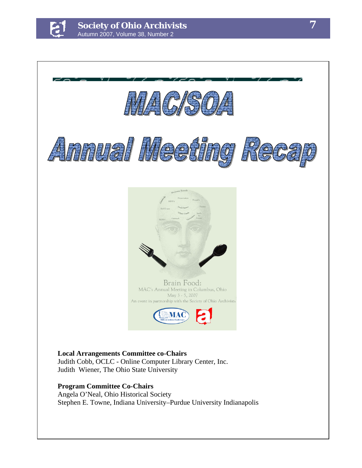

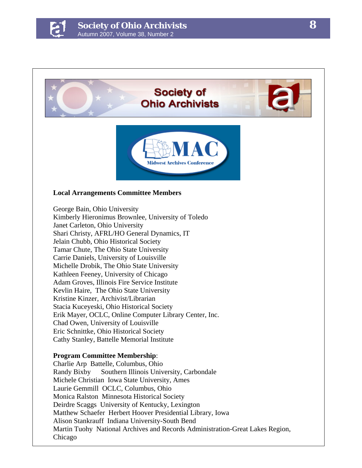

## **Society of Ohio Archivists**



#### **Local Arrangements Committee Members**

George Bain, Ohio University Kimberly Hieronimus Brownlee, University of Toledo Janet Carleton, Ohio University Shari Christy, AFRL/HO General Dynamics, IT Jelain Chubb, Ohio Historical Society Tamar Chute, The Ohio State University Carrie Daniels, University of Louisville Michelle Drobik, The Ohio State University Kathleen Feeney, University of Chicago Adam Groves, Illinois Fire Service Institute Kevlin Haire, The Ohio State University Kristine Kinzer, Archivist/Librarian Stacia Kuceyeski, Ohio Historical Society Erik Mayer, OCLC, Online Computer Library Center, Inc. Chad Owen, University of Louisville Eric Schnittke, Ohio Historical Society Cathy Stanley, Battelle Memorial Institute

#### **Program Committee Membership**:

Charlie Arp Battelle, Columbus, Ohio Randy Bixby Southern Illinois University, Carbondale Michele Christian Iowa State University, Ames Laurie Gemmill OCLC, Columbus, Ohio Monica Ralston Minnesota Historical Society Deirdre Scaggs University of Kentucky, Lexington Matthew Schaefer Herbert Hoover Presidential Library, Iowa Alison Stankrauff Indiana University-South Bend Martin Tuohy National Archives and Records Administration-Great Lakes Region, Chicago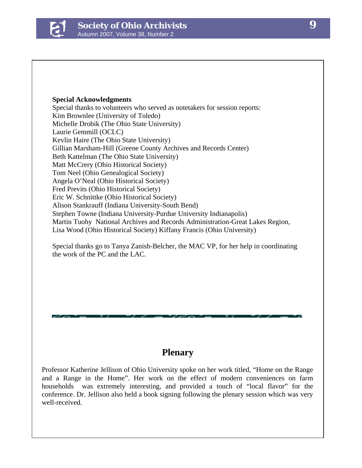

#### **Special Acknowledgments**

Special thanks to volunteers who served as notetakers for session reports: Kim Brownlee (University of Toledo) Michelle Drobik (The Ohio State University) Laurie Gemmill (OCLC) Kevlin Haire (The Ohio State University) Gillian Marsham-Hill (Greene County Archives and Records Center) Beth Kattelman (The Ohio State University) Matt McCrery (Ohio Historical Society) Tom Neel (Ohio Genealogical Society) Angela O'Neal (Ohio Historical Society) Fred Previts (Ohio Historical Society) Eric W. Schnittke (Ohio Historical Society) Alison Stankrauff (Indiana University-South Bend) Stephen Towne (Indiana University-Purdue University Indianapolis) Martin Tuohy National Archives and Records Administration-Great Lakes Region, Lisa Wood (Ohio Historical Society) Kiffany Francis (Ohio University)

Special thanks go to Tanya Zanish-Belcher, the MAC VP, for her help in coordinating the work of the PC and the LAC.

### **Plenary**

Professor Katherine Jellison of Ohio University spoke on her work titled, "Home on the Range and a Range in the Home". Her work on the effect of modern conveniences on farm households was extremely interesting, and provided a touch of "local flavor" for the conference. Dr. Jellison also held a book signing following the plenary session which was very well-received.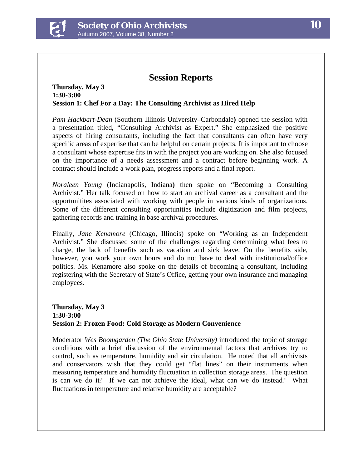

### **Session Reports**

#### **Thursday, May 3 1:30-3:00 Session 1: Chef For a Day: The Consulting Archivist as Hired Help**

*Pam Hackbart-Dean* (Southern Illinois University–Carbondale**)** opened the session with a presentation titled, "Consulting Archivist as Expert." She emphasized the positive aspects of hiring consultants, including the fact that consultants can often have very specific areas of expertise that can be helpful on certain projects. It is important to choose a consultant whose expertise fits in with the project you are working on. She also focused on the importance of a needs assessment and a contract before beginning work. A contract should include a work plan, progress reports and a final report.

*Noraleen Young* (Indianapolis, Indiana**)** then spoke on "Becoming a Consulting Archivist." Her talk focused on how to start an archival career as a consultant and the opportunitites associated with working with people in various kinds of organizations. Some of the different consulting opportunities include digitization and film projects, gathering records and training in base archival procedures.

Finally, *Jane Kenamore* (Chicago, Illinois) spoke on "Working as an Independent Archivist." She discussed some of the challenges regarding determining what fees to charge, the lack of benefits such as vacation and sick leave. On the benefits side, however, you work your own hours and do not have to deal with institutional/office politics. Ms. Kenamore also spoke on the details of becoming a consultant, including registering with the Secretary of State's Office, getting your own insurance and managing employees.

#### **Thursday, May 3 1:30-3:00 Session 2: Frozen Food: Cold Storage as Modern Convenience**

Moderator *Wes Boomgarden (The Ohio State University)* introduced the topic of storage conditions with a brief discussion of the environmental factors that archives try to control, such as temperature, humidity and air circulation. He noted that all archivists and conservators wish that they could get "flat lines" on their instruments when measuring temperature and humidity fluctuation in collection storage areas. The question is can we do it? If we can not achieve the ideal, what can we do instead? What fluctuations in temperature and relative humidity are acceptable?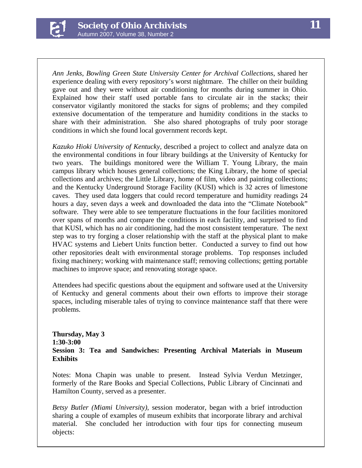

*Ann Jenks*, *Bowling Green State University Center for Archival Collections*, shared her experience dealing with every repository's worst nightmare. The chiller on their building gave out and they were without air conditioning for months during summer in Ohio. Explained how their staff used portable fans to circulate air in the stacks; their conservator vigilantly monitored the stacks for signs of problems; and they compiled extensive documentation of the temperature and humidity conditions in the stacks to share with their administration. She also shared photographs of truly poor storage conditions in which she found local government records kept.

*Kazuko Hioki University of Kentucky,* described a project to collect and analyze data on the environmental conditions in four library buildings at the University of Kentucky for two years. The buildings monitored were the William T. Young Library, the main campus library which houses general collections; the King Library, the home of special collections and archives; the Little Library, home of film, video and painting collections; and the Kentucky Underground Storage Facility (KUSI) which is 32 acres of limestone caves. They used data loggers that could record temperature and humidity readings 24 hours a day, seven days a week and downloaded the data into the "Climate Notebook" software. They were able to see temperature fluctuations in the four facilities monitored over spans of months and compare the conditions in each facility, and surprised to find that KUSI, which has no air conditioning, had the most consistent temperature. The next step was to try forging a closer relationship with the staff at the physical plant to make HVAC systems and Liebert Units function better. Conducted a survey to find out how other repositories dealt with environmental storage problems. Top responses included fixing machinery; working with maintenance staff; removing collections; getting portable machines to improve space; and renovating storage space.

Attendees had specific questions about the equipment and software used at the University of Kentucky and general comments about their own efforts to improve their storage spaces, including miserable tales of trying to convince maintenance staff that there were problems.

#### **Thursday, May 3 1:30-3:00 Session 3: Tea and Sandwiches: Presenting Archival Materials in Museum Exhibits**

Notes: Mona Chapin was unable to present. Instead Sylvia Verdun Metzinger, formerly of the Rare Books and Special Collections, Public Library of Cincinnati and Hamilton County, served as a presenter.

*Betsy Butler (Miami University)*, session moderator, began with a brief introduction sharing a couple of examples of museum exhibits that incorporate library and archival material. She concluded her introduction with four tips for connecting museum objects: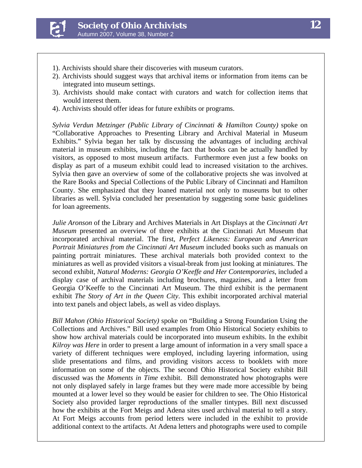

- 1). Archivists should share their discoveries with museum curators.
- *Candidate: Katy L. W. Klettlinger*  2). Archivists should suggest ways that archival items or information from items can be integrated into museum settings.
- 3). Archivists should make contact with curators and watch for collection items that would interest them.<br> $\mathcal{L}$  archivists, including my MLIS just last year. It is including who received my MLIS just last year. It is including who received my MLIS just last year. It is including who received with the s would interest them.
- 4). Archivists should offer ideas for future exhibits or programs.

 $R$ egional conferences focusing on a technology theory theme would be a solid beneficial tool for SOA Sylvia Verdun Metzinger (Public Library of Cincinnati & Hamilton County) spoke on<br>
"Call later" by a part of Public Library of Cincinnati & Hamilton County) spoke on "Collaborative Approaches to Presenting Library and Archival Material in Museum  $\epsilon$  through the text of  $\epsilon$  and  $\epsilon$  and  $\epsilon$  and  $\epsilon$  and participates, and participates, and participates,  $\epsilon$ material in museum exhibits, including the fact that books can be actually handled by visitors, as opposed to most museum artifacts. Furthermore even just a few books on display as part of a museum exhibit could lead to increased visitation to the archives. Sylvia then gave an overview of some of the collaborative projects she was involved at  $\mathbb{R}^n$ . the Rare Books and Special Collections of the Public Library of Cincinnati and Hamilton libraries as well. Sylvia concluded her presentation by suggesting some basic guidelines for loan agreements. Exhibits." Sylvia began her talk by discussing the advantages of including archival County. She emphasized that they loaned material not only to museums but to other

the gaps in the same time,  $\mathbf{r}$  in  $\mathbf{r}$  archivists in  $\mathbf{r}$  and  $\mathbf{r}$  in  $\mathbf{r}$  also been time, I have also been time, I have also been time, I have also been time, I have also been time, I have also been Julie Aronson of the Library and Archives Materials in Art Displays at the *Cincinnati Art* **Julie Art Displays** at the *Cincinnati Art Museum* presented an overview of three exhibits at the Cincinnati Art Museum that incorporated archival material. The first, *Perfect Likeness: European and American Portrait Miniatures from the Cincinnati Art Museum* included books such as manuals on the included books such as manuals on painting portrait miniatures. These archival materials both provided context to the miniatures as well as provided visitors a visual-break from just looking at miniatures. The second exhibit, *Natural Moderns: Georgia O'Keeffe and Her Contemporaries*, included a exhibit *The Story of Art in the Queen City*. This exhibit incorporated archival material display case of archival materials including brochures, magazines, and a letter from Georgia O'Keeffe to the Cincinnati Art Museum. The third exhibit is the permanent into text panels and object labels, as well as video displays.

 $\mathbf{F}^{(t)}$  is  $\mathbf{F}^{(t)}$  . We have  $\mathbf{F}^{(t)}$ *Bill Mahon (Ohio Historical Society)* spoke on "Building a Strong Foundation Using the Collections and Archives." Bill used examples from Ohio Historical Society exhibits to show how archival materials could be incorporated into museum exhibits. In the exhibit *Kilroy was Here* in order to present a large amount of information in a very small space a variety of different techniques were employed, including layering information, using slide presentations and films, and providing visitors access to booklets with more information on some of the objects. The second Ohio Historical Society exhibit Bill discussed was the *Moments in Time* exhibit. Bill demonstrated how photographs were not only displayed safely in large frames but they were made more accessible by being mounted at a lower level so they would be easier for children to see. The Ohio Historical Society also provided larger reproductions of the smaller tintypes. Bill next discussed how the exhibits at the Fort Meigs and Adena sites used archival material to tell a story. At Fort Meigs accounts from period letters were included in the exhibit to provide additional context to the artifacts. At Adena letters and photographs were used to compile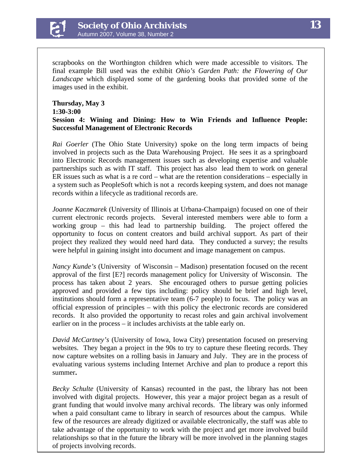

scrapbooks on the Worthington children which were made accessible to visitors. The final example Bill used was the exhibit *Ohio's Garden Path: the Flowering of Our Landscape* which displayed some of the gardening books that provided some of the images used in the exhibit.

#### **Thursday, May 3 1:30-3:00 Session 4: Wining and Dining: How to Win Friends and Influence People: Successful Management of Electronic Records**

*Rai Goerler* (The Ohio State University) spoke on the long term impacts of being involved in projects such as the Data Warehousing Project. He sees it as a springboard into Electronic Records management issues such as developing expertise and valuable partnerships such as with IT staff. This project has also lead them to work on general ER issues such as what is a re cord – what are the retention considerations – especially in a system such as PeopleSoft which is not a records keeping system, and does not manage records within a lifecycle as traditional records are.

*Joanne Kaczmarek* (University of Illinois at Urbana-Champaign) focused on one of their current electronic records projects. Several interested members were able to form a working group – this had lead to partnership building. The project offered the opportunity to focus on content creators and build archival support. As part of their project they realized they would need hard data. They conducted a survey; the results were helpful in gaining insight into document and image management on campus.

records. It also provided the opportunity to recast roles and gain archival involvement *Nancy Kunde's* (University of Wisconsin – Madison) presentation focused on the recent approval of the first [E?] records management policy for University of Wisconsin. The process has taken about 2 years. She encouraged others to pursue getting policies approved and provided a few tips including: policy should be brief and high level, institutions should form a representative team (6-7 people) to focus. The policy was an official expression of principles – with this policy the electronic records are considered earlier on in the process – it includes archivists at the table early on.

*David McCartney's* (University of Iowa, Iowa City) presentation focused on preserving websites. They began a project in the 90s to try to capture these fleeting records. They now capture websites on a rolling basis in January and July. They are in the process of evaluating various systems including Internet Archive and plan to produce a report this summer**.** 

*Becky Schulte* (University of Kansas) recounted in the past, the library has not been involved with digital projects. However, this year a major project began as a result of grant funding that would involve many archival records. The library was only informed when a paid consultant came to library in search of resources about the campus. While few of the resources are already digitized or available electronically, the staff was able to take advantage of the opportunity to work with the project and get more involved build relationships so that in the future the library will be more involved in the planning stages of projects involving records.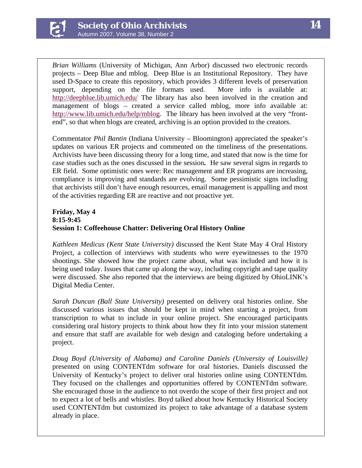

*Brian Williams* (University of Michigan, Ann Arbor) discussed two electronic records projects – Deep Blue and mblog. Deep Blue is an Institutional Repository. They have used D-Space to create this repository, which provides 3 different levels of preservation support, depending on the file formats used. More info is available at: <http://deepblue.lib.umich.edu/> The library has also been involved in the creation and management of blogs – created a service called mblog, more info available at: <http://www.lib.umich.edu/help/mblog>. The library has been involved at the very "frontend", so that when blogs are created, archiving is an option provided to the creators.

Commentator *Phil Bantin* (Indiana University – Bloomington) appreciated the speaker's updates on various ER projects and commented on the timeliness of the presentations. Archivists have been discussing theory for a long time, and stated that now is the time for case studies such as the ones discussed in the session**.** He saw several signs in regards to ER field. Some optimistic ones were: Rec management and ER programs are increasing, compliance is improving and standards are evolving. Some pessimistic signs including that archivists still don't have enough resources, email management is appalling and most of the activities regarding ER are reactive and not proactive yet.

#### **Friday, May 4 8:15-9:45 Session 1: Coffeehouse Chatter: Delivering Oral History Online**

*Kathleen Medicus (Kent State University)* discussed the Kent State May 4 Oral History Project, a collection of interviews with students who were eyewitnesses to the 1970 shootings. She showed how the project came about, what was included and how it is being used today. Issues that came up along the way, including copyright and tape quality were discussed. She also reported that the interviews are being digitized by OhioLINK's Digital Media Center.

*Sarah Duncan (Ball State University)* presented on delivery oral histories online. She discussed various issues that should be kept in mind when starting a project, from transcription to what to include in your online project. She encouraged participants considering oral history projects to think about how they fit into your mission statement and ensure that staff are available for web design and cataloging before undertaking a project.

*Doug Boyd (University of Alabama) and Caroline Daniels (University of Louisville)*  presented on using CONTENTdm software for oral histories. Daniels discussed the University of Kentucky's project to deliver oral histories online using CONTENTdm. They focused on the challenges and opportunities offered by CONTENTdm software. She encouraged those in the audience to not overdo the scope of their first project and not to expect a lot of bells and whistles. Boyd talked about how Kentucky Historical Society used CONTENTdm but customized its project to take advantage of a database system already in place.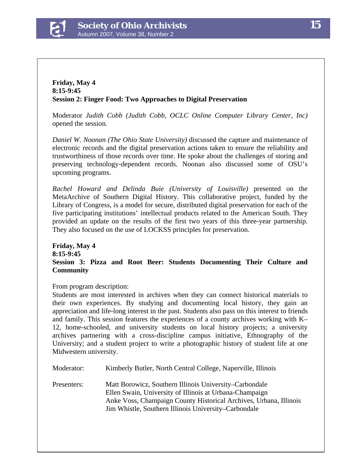

#### **Friday, May 4 8:15-9:45 Session 2: Finger Food: Two Approaches to Digital Preservation**

Moderator *Judith Cobb (Judith Cobb, OCLC Online Computer Library Center, Inc)* opened the session.

*Daniel W. Noonan (The Ohio State University)* discussed the capture and maintenance of electronic records and the digital preservation actions taken to ensure the reliability and trustworthiness of those records over time. He spoke about the challenges of storing and preserving technology-dependent records. Noonan also discussed some of OSU's upcoming programs.

*Rachel Howard and Delinda Buie (University of Louisville)* presented on the MetaArchive of Southern Digital History. This collaborative project, funded by the Library of Congress, is a model for secure, distributed digital preservation for each of the five participating institutions' intellectual products related to the American South. They provided an update on the results of the first two years of this three-year partnership. They also focused on the use of LOCKSS principles for preservation.

#### **Friday, May 4 8:15-9:45 Session 3: Pizza and Root Beer: Students Documenting Their Culture and Community**

From program description:

Students are most interested in archives when they can connect historical materials to their own experiences. By studying and documenting local history, they gain an appreciation and life-long interest in the past. Students also pass on this interest to friends and family. This session features the experiences of a county archives working with K– 12, home-schooled, and university students on local history projects; a university archives partnering with a cross-discipline campus initiative, Ethnography of the University; and a student project to write a photographic history of student life at one Midwestern university.

| Moderator:  | Kimberly Butler, North Central College, Naperville, Illinois                                                                                                                                                                                   |
|-------------|------------------------------------------------------------------------------------------------------------------------------------------------------------------------------------------------------------------------------------------------|
| Presenters: | Matt Borowicz, Southern Illinois University–Carbondale<br>Ellen Swain, University of Illinois at Urbana-Champaign<br>Anke Voss, Champaign County Historical Archives, Urbana, Illinois<br>Jim Whistle, Southern Illinois University–Carbondale |
|             |                                                                                                                                                                                                                                                |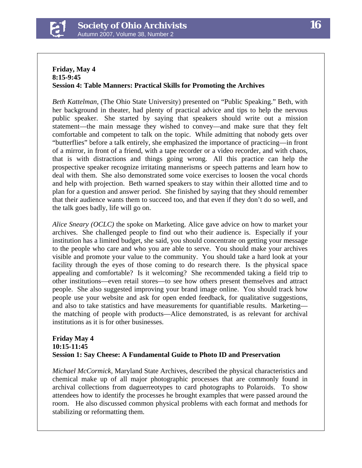

#### **Friday, May 4 8:15-9:45 Session 4: Table Manners: Practical Skills for Promoting the Archives**

*Beth Kattelman,* (The Ohio State University) presented on "Public Speaking." Beth, with her background in theater, had plenty of practical advice and tips to help the nervous public speaker. She started by saying that speakers should write out a mission statement—the main message they wished to convey—and make sure that they felt comfortable and competent to talk on the topic. While admitting that nobody gets over "butterflies" before a talk entirely, she emphasized the importance of practicing—in front of a mirror, in front of a friend, with a tape recorder or a video recorder, and with chaos, that is with distractions and things going wrong. All this practice can help the prospective speaker recognize irritating mannerisms or speech patterns and learn how to deal with them. She also demonstrated some voice exercises to loosen the vocal chords and help with projection. Beth warned speakers to stay within their allotted time and to plan for a question and answer period. She finished by saying that they should remember that their audience wants them to succeed too, and that even if they don't do so well, and the talk goes badly, life will go on.

*Alice Sneary (OCLC)* the spoke on Marketing. Alice gave advice on how to market your archives. She challenged people to find out who their audience is. Especially if your institution has a limited budget, she said, you should concentrate on getting your message to the people who care and who you are able to serve. You should make your archives visible and promote your value to the community. You should take a hard look at your facility through the eyes of those coming to do research there. Is the physical space appealing and comfortable? Is it welcoming? She recommended taking a field trip to other institutions—even retail stores—to see how others present themselves and attract people. She also suggested improving your brand image online. You should track how people use your website and ask for open ended feedback, for qualitative suggestions, and also to take statistics and have measurements for quantifiable results. Marketing the matching of people with products—Alice demonstrated, is as relevant for archival institutions as it is for other businesses.

#### **Friday May 4 10:15-11:45 Session 1: Say Cheese: A Fundamental Guide to Photo ID and Preservation**

*Michael McCormick,* Maryland State Archives, described the physical characteristics and chemical make up of all major photographic processes that are commonly found in archival collections from daguerreotypes to card photographs to Polaroids. To show attendees how to identify the processes he brought examples that were passed around the room. He also discussed common physical problems with each format and methods for stabilizing or reformatting them.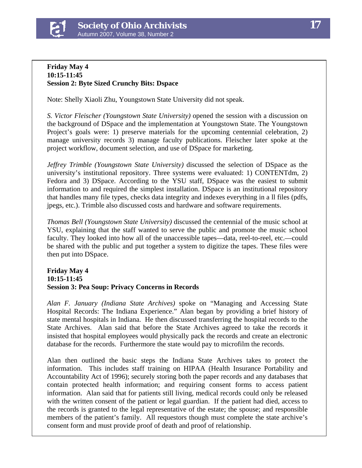

#### **Friday May 4 10:15-11:45 Session 2: Byte Sized Crunchy Bits: Dspace**

Note: Shelly Xiaoli Zhu, Youngstown State University did not speak.

*S. Victor Fleischer (Youngstown State University)* opened the session with a discussion on the background of DSpace and the implementation at Youngstown State. The Youngstown Project's goals were: 1) preserve materials for the upcoming centennial celebration, 2) manage university records 3) manage faculty publications. Fleischer later spoke at the project workflow, document selection, and use of DSpace for marketing.

*Jeffrey Trimble (Youngstown State University)* discussed the selection of DSpace as the university's institutional repository. Three systems were evaluated: 1) CONTENTdm, 2) Fedora and 3) DSpace. According to the YSU staff, DSpace was the easiest to submit information to and required the simplest installation. DSpace is an institutional repository that handles many file types, checks data integrity and indexes everything in a ll files (pdfs, jpegs, etc.). Trimble also discussed costs and hardware and software requirements.

*Thomas Bell (Youngstown State University)* discussed the centennial of the music school at YSU, explaining that the staff wanted to serve the public and promote the music school faculty. They looked into how all of the unaccessible tapes—data, reel-to-reel, etc.—could be shared with the public and put together a system to digitize the tapes. These files were then put into DSpace.

#### **Friday May 4 10:15-11:45 Session 3: Pea Soup: Privacy Concerns in Records**

*Alan F. January (Indiana State Archives)* spoke on "Managing and Accessing State Hospital Records: The Indiana Experience." Alan began by providing a brief history of state mental hospitals in Indiana. He then discussed transferring the hospital records to the State Archives. Alan said that before the State Archives agreed to take the records it insisted that hospital employees would physically pack the records and create an electronic database for the records. Furthermore the state would pay to microfilm the records.

Alan then outlined the basic steps the Indiana State Archives takes to protect the information. This includes staff training on HIPAA (Health Insurance Portability and Accountability Act of 1996); securely storing both the paper records and any databases that contain protected health information; and requiring consent forms to access patient information. Alan said that for patients still living, medical records could only be released with the written consent of the patient or legal guardian. If the patient had died, access to the records is granted to the legal representative of the estate; the spouse; and responsible members of the patient's family. All requestors though must complete the state archive's consent form and must provide proof of death and proof of relationship.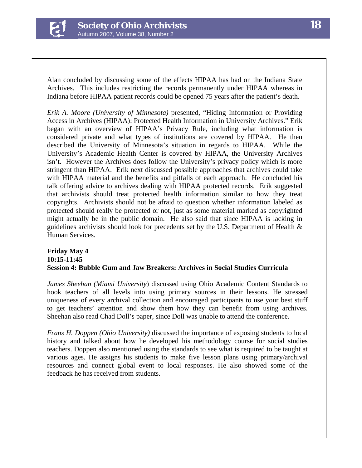

Alan concluded by discussing some of the effects HIPAA has had on the Indiana State Archives. This includes restricting the records permanently under HIPAA whereas in Indiana before HIPAA patient records could be opened 75 years after the patient's death.

*Erik A. Moore (University of Minnesota)* presented, "Hiding Information or Providing Access in Archives (HIPAA): Protected Health Information in University Archives." Erik began with an overview of HIPAA's Privacy Rule, including what information is considered private and what types of institutions are covered by HIPAA. He then described the University of Minnesota's situation in regards to HIPAA. While the University's Academic Health Center is covered by HIPAA, the University Archives isn't. However the Archives does follow the University's privacy policy which is more stringent than HIPAA. Erik next discussed possible approaches that archives could take with HIPAA material and the benefits and pitfalls of each approach. He concluded his talk offering advice to archives dealing with HIPAA protected records. Erik suggested that archivists should treat protected health information similar to how they treat copyrights. Archivists should not be afraid to question whether information labeled as protected should really be protected or not, just as some material marked as copyrighted might actually be in the public domain. He also said that since HIPAA is lacking in guidelines archivists should look for precedents set by the U.S. Department of Health  $\&$ Human Services.

#### **Friday May 4 10:15-11:45 Session 4: Bubble Gum and Jaw Breakers: Archives in Social Studies Curricula**

*James Sheehan (Miami University*) discussed using Ohio Academic Content Standards to hook teachers of all levels into using primary sources in their lessons. He stressed uniqueness of every archival collection and encouraged participants to use your best stuff to get teachers' attention and show them how they can benefit from using archives. Sheehan also read Chad Doll's paper, since Doll was unable to attend the conference.

*Frans H. Doppen (Ohio University)* discussed the importance of exposing students to local history and talked about how he developed his methodology course for social studies teachers. Doppen also mentioned using the standards to see what is required to be taught at various ages. He assigns his students to make five lesson plans using primary/archival resources and connect global event to local responses. He also showed some of the feedback he has received from students.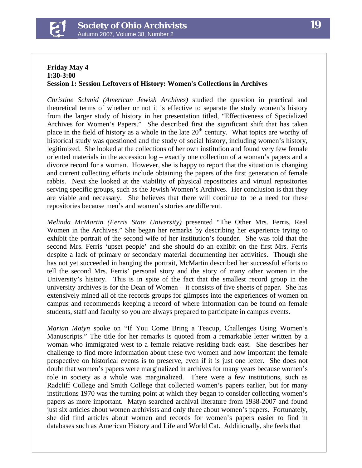

#### **Friday May 4 1:30-3:00 Session 1: Session Leftovers of History: Women's Collections in Archives**

*Christine Schmid (American Jewish Archives)* studied the question in practical and theoretical terms of whether or not it is effective to separate the study women's history from the larger study of history in her presentation titled, "Effectiveness of Specialized Archives for Women's Papers." She described first the significant shift that has taken place in the field of history as a whole in the late  $20<sup>th</sup>$  century. What topics are worthy of historical study was questioned and the study of social history, including women's history, legitimized. She looked at the collections of her own institution and found very few female oriented materials in the accession log – exactly one collection of a woman's papers and a divorce record for a woman. However, she is happy to report that the situation is changing and current collecting efforts include obtaining the papers of the first generation of female rabbis. Next she looked at the viability of physical repositories and virtual repositories serving specific groups, such as the Jewish Women's Archives. Her conclusion is that they are viable and necessary. She believes that there will continue to be a need for these repositories because men's and women's stories are different.

*Melinda McMartin (Ferris State University)* presented "The Other Mrs. Ferris, Real Women in the Archives." She began her remarks by describing her experience trying to exhibit the portrait of the second wife of her institution's founder. She was told that the second Mrs. Ferris 'upset people' and she should do an exhibit on the first Mrs. Ferris despite a lack of primary or secondary material documenting her activities. Though she has not yet succeeded in hanging the portrait, McMartin described her successful efforts to tell the second Mrs. Ferris' personal story and the story of many other women in the University's history. This is in spite of the fact that the smallest record group in the university archives is for the Dean of Women – it consists of five sheets of paper. She has extensively mined all of the records groups for glimpses into the experiences of women on campus and recommends keeping a record of where information can be found on female students, staff and faculty so you are always prepared to participate in campus events.

*Marian Matyn* spoke on "If You Come Bring a Teacup, Challenges Using Women's Manuscripts." The title for her remarks is quoted from a remarkable letter written by a woman who immigrated west to a female relative residing back east. She describes her challenge to find more information about these two women and how important the female perspective on historical events is to preserve, even if it is just one letter. She does not doubt that women's papers were marginalized in archives for many years because women's role in society as a whole was marginalized. There were a few institutions, such as Radcliff College and Smith College that collected women's papers earlier, but for many institutions 1970 was the turning point at which they began to consider collecting women's papers as more important. Matyn searched archival literature from 1938-2007 and found just six articles about women archivists and only three about women's papers. Fortunately, she did find articles about women and records for women's papers easier to find in databases such as American History and Life and World Cat. Additionally, she feels that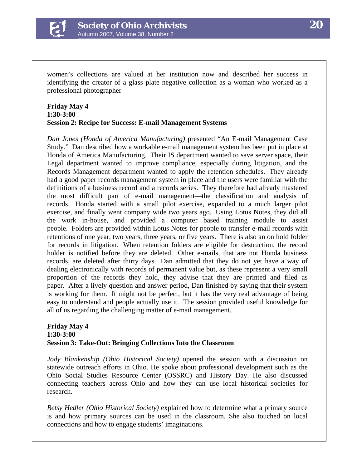

women's collections are valued at her institution now and described her success in identifying the creator of a glass plate negative collection as a woman who worked as a professional photographer

#### **Friday May 4 1:30-3:00 Session 2: Recipe for Success: E-mail Management Systems**

*Dan Jones (Honda of America Manufacturing)* presented "An E-mail Management Case Study." Dan described how a workable e-mail management system has been put in place at Honda of America Manufacturing. Their IS department wanted to save server space, their Legal department wanted to improve compliance, especially during litigation, and the Records Management department wanted to apply the retention schedules. They already had a good paper records management system in place and the users were familiar with the definitions of a business record and a records series. They therefore had already mastered the most difficult part of e-mail management—the classification and analysis of records. Honda started with a small pilot exercise, expanded to a much larger pilot exercise, and finally went company wide two years ago. Using Lotus Notes, they did all the work in-house, and provided a computer based training module to assist people. Folders are provided within Lotus Notes for people to transfer e-mail records with retentions of one year, two years, three years, or five years. There is also an on hold folder for records in litigation. When retention folders are eligible for destruction, the record holder is notified before they are deleted. Other e-mails, that are not Honda business records, are deleted after thirty days. Dan admitted that they do not yet have a way of dealing electronically with records of permanent value but, as these represent a very small proportion of the records they hold, they advise that they are printed and filed as paper. After a lively question and answer period, Dan finished by saying that their system is working for them. It might not be perfect, but it has the very real advantage of being easy to understand and people actually use it. The session provided useful knowledge for all of us regarding the challenging matter of e-mail management.

#### **Friday May 4 1:30-3:00 Session 3: Take-Out: Bringing Collections Into the Classroom**

*Jody Blankenship (Ohio Historical Society)* opened the session with a discussion on statewide outreach efforts in Ohio. He spoke about professional development such as the Ohio Social Studies Resource Center (OSSRC) and History Day. He also discussed connecting teachers across Ohio and how they can use local historical societies for research.

*Betsy Hedler (Ohio Historical Society)* explained how to determine what a primary source is and how primary sources can be used in the classroom. She also touched on local connections and how to engage students' imaginations.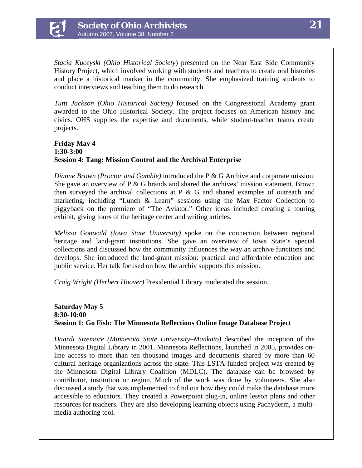

*Stacia Kuceyski (Ohio Historical Society*) presented on the Near East Side Community History Project, which involved working with students and teachers to create oral histories and place a historical marker in the community. She emphasized training students to conduct interviews and teaching them to do research.

*Tutti Jackson (Ohio Historical Society)* focused on the Congressional Academy grant awarded to the Ohio Historical Society. The project focuses on American history and civics. OHS supplies the expertise and documents, while student-teacher teams create projects.

#### **Friday May 4 1:30-3:00 Session 4: Tang: Mission Control and the Archival Enterprise**

*Dianne Brown (Proctor and Gamble)* introduced the P & G Archive and corporate mission. She gave an overview of  $P \& G$  brands and shared the archives' mission statement. Brown then surveyed the archival collections at  $P \& G$  and shared examples of outreach and marketing, including "Lunch & Learn" sessions using the Max Factor Collection to piggyback on the premiere of "The Aviator." Other ideas included creating a touring exhibit, giving tours of the heritage center and writing articles.

*Melissa Gottwald (Iowa State University)* spoke on the connection between regional heritage and land-grant institutions. She gave an overview of Iowa State's special collections and discussed how the community influences the way an archive functions and develops. She introduced the land-grant mission: practical and affordable education and public service. Her talk focused on how the archiv supports this mission.

*Craig Wright (Herbert Hoover)* Presidential Library moderated the session.

#### **Saturday May 5 8:30-10:00 Session 1: Go Fish: The Minnesota Reflections Online Image Database Project**

*Daardi Sizemore (Minnesota State University–Mankato)* described the inception of the Minnesota Digital Library in 2001. Minnesota Reflections, launched in 2005, provides online access to more than ten thousand images and documents shared by more than 60 cultural heritage organizations across the state. This LSTA-funded project was created by the Minnesota Digital Library Coalition (MDLC). The database can be browsed by contributor, institution or region. Much of the work was done by volunteers. She also discussed a study that was implemented to find out how they could make the database more accessible to educators. They created a Powerpoint plug-in, online lesson plans and other resources for teachers. They are also developing learning objects using Pachyderm, a multimedia authoring tool.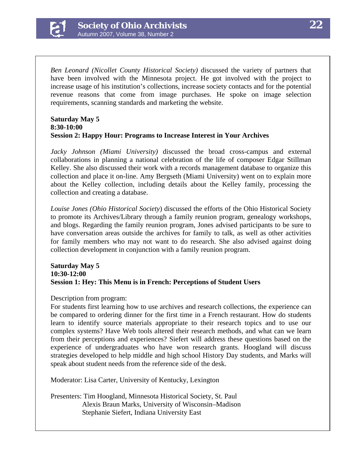

*Ben Leonard (Nicollet County Historical Society)* discussed the variety of partners that have been involved with the Minnesota project. He got involved with the project to increase usage of his institution's collections, increase society contacts and for the potential revenue reasons that come from image purchases. He spoke on image selection requirements, scanning standards and marketing the website.

#### **Saturday May 5 8:30-10:00 Session 2: Happy Hour: Programs to Increase Interest in Your Archives**

*Jacky Johnson (Miami University)* discussed the broad cross-campus and external collaborations in planning a national celebration of the life of composer Edgar Stillman Kelley. She also discussed their work with a records management database to organize this collection and place it on-line. Amy Bergseth (Miami University) went on to explain more about the Kelley collection, including details about the Kelley family, processing the collection and creating a database.

*Louise Jones (Ohio Historical Society*) discussed the efforts of the Ohio Historical Society to promote its Archives/Library through a family reunion program, genealogy workshops, and blogs. Regarding the family reunion program, Jones advised participants to be sure to have conversation areas outside the archives for family to talk, as well as other activities for family members who may not want to do research. She also advised against doing collection development in conjunction with a family reunion program.

#### **Saturday May 5 10:30-12:00 Session 1: Hey: This Menu is in French: Perceptions of Student Users**

Description from program:

For students first learning how to use archives and research collections, the experience can be compared to ordering dinner for the first time in a French restaurant. How do students learn to identify source materials appropriate to their research topics and to use our complex systems? Have Web tools altered their research methods, and what can we learn from their perceptions and experiences? Siefert will address these questions based on the experience of undergraduates who have won research grants. Hoogland will discuss strategies developed to help middle and high school History Day students, and Marks will speak about student needs from the reference side of the desk.

Moderator: Lisa Carter, University of Kentucky, Lexington

Presenters: Tim Hoogland, Minnesota Historical Society, St. Paul Alexis Braun Marks, University of Wisconsin–Madison Stephanie Siefert, Indiana University East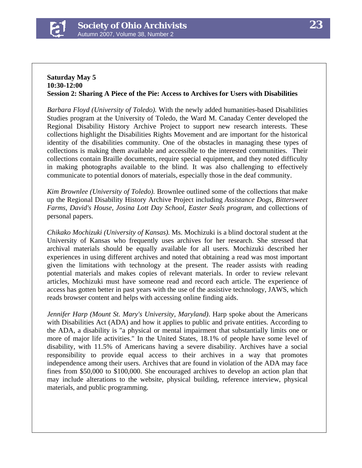

#### **Saturday May 5 10:30-12:00 Session 2: Sharing A Piece of the Pie: Access to Archives for Users with Disabilities**

*Barbara Floyd (University of Toledo).* With the newly added humanities-based Disabilities Studies program at the University of Toledo, the Ward M. Canaday Center developed the Regional Disability History Archive Project to support new research interests. These collections highlight the Disabilities Rights Movement and are important for the historical identity of the disabilities community. One of the obstacles in managing these types of collections is making them available and accessible to the interested communities. Their collections contain Braille documents, require special equipment, and they noted difficulty in making photographs available to the blind. It was also challenging to effectively communicate to potential donors of materials, especially those in the deaf community.

*Kim Brownlee (University of Toledo).* Brownlee outlined some of the collections that make up the Regional Disability History Archive Project including *Assistance Dogs*, *Bittersweet Farms*, *David's House*, *Josina Lott Day School*, *Easter Seals program*, and collections of personal papers.

*Chikako Mochizuki (University of Kansas).* Ms. Mochizuki is a blind doctoral student at the University of Kansas who frequently uses archives for her research. She stressed that archival materials should be equally available for all users. Mochizuki described her experiences in using different archives and noted that obtaining a read was most important given the limitations with technology at the present. The reader assists with reading potential materials and makes copies of relevant materials. In order to review relevant articles, Mochizuki must have someone read and record each article. The experience of access has gotten better in past years with the use of the assistive technology, JAWS, which reads browser content and helps with accessing online finding aids.

*Jennifer Harp (Mount St. Mary's University, Maryland)*. Harp spoke about the Americans with Disabilities Act (ADA) and how it applies to public and private entities. According to the ADA, a disability is "a physical or mental impairment that substantially limits one or more of major life activities." In the United States, 18.1% of people have some level of disability, with 11.5% of Americans having a severe disability. Archives have a social responsibility to provide equal access to their archives in a way that promotes independence among their users. Archives that are found in violation of the ADA may face fines from \$50,000 to \$100,000. She encouraged archives to develop an action plan that may include alterations to the website, physical building, reference interview, physical materials, and public programming.